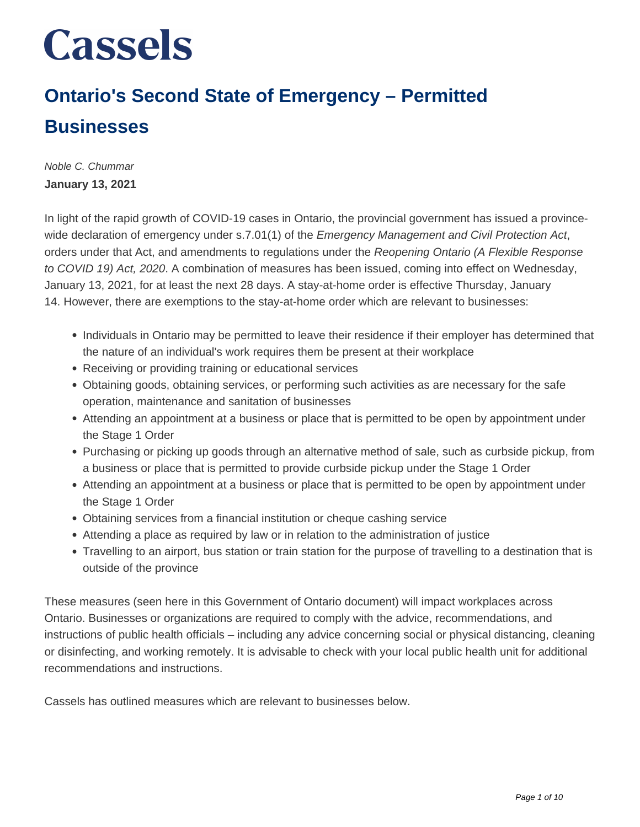### **Ontario's Second State of Emergency – Permitted Businesses**

Noble C. Chummar **January 13, 2021**

In light of the rapid growth of COVID-19 cases in Ontario, the provincial government has issued a provincewide declaration of emergency under s.7.01(1) of the Emergency Management and Civil Protection Act, orders under that Act, and amendments to regulations under the Reopening Ontario (A Flexible Response to COVID 19) Act, 2020. A combination of measures has been issued, coming into effect on Wednesday, January 13, 2021, for at least the next 28 days. A stay-at-home order is effective Thursday, January 14. However, there are exemptions to the stay-at-home order which are relevant to businesses:

- Individuals in Ontario may be permitted to leave their residence if their employer has determined that the nature of an individual's work requires them be present at their workplace
- Receiving or providing training or educational services
- Obtaining goods, obtaining services, or performing such activities as are necessary for the safe operation, maintenance and sanitation of businesses
- Attending an appointment at a business or place that is permitted to be open by appointment under the Stage 1 Order
- Purchasing or picking up goods through an alternative method of sale, such as curbside pickup, from a business or place that is permitted to provide curbside pickup under the Stage 1 Order
- Attending an appointment at a business or place that is permitted to be open by appointment under the Stage 1 Order
- Obtaining services from a financial institution or cheque cashing service
- Attending a place as required by law or in relation to the administration of justice
- Travelling to an airport, bus station or train station for the purpose of travelling to a destination that is outside of the province

These measures (seen here in this Government of Ontario document) will impact workplaces across Ontario. Businesses or organizations are required to comply with the advice, recommendations, and instructions of public health officials – including any advice concerning social or physical distancing, cleaning or disinfecting, and working remotely. It is advisable to check with your local public health unit for additional recommendations and instructions.

Cassels has outlined measures which are relevant to businesses below.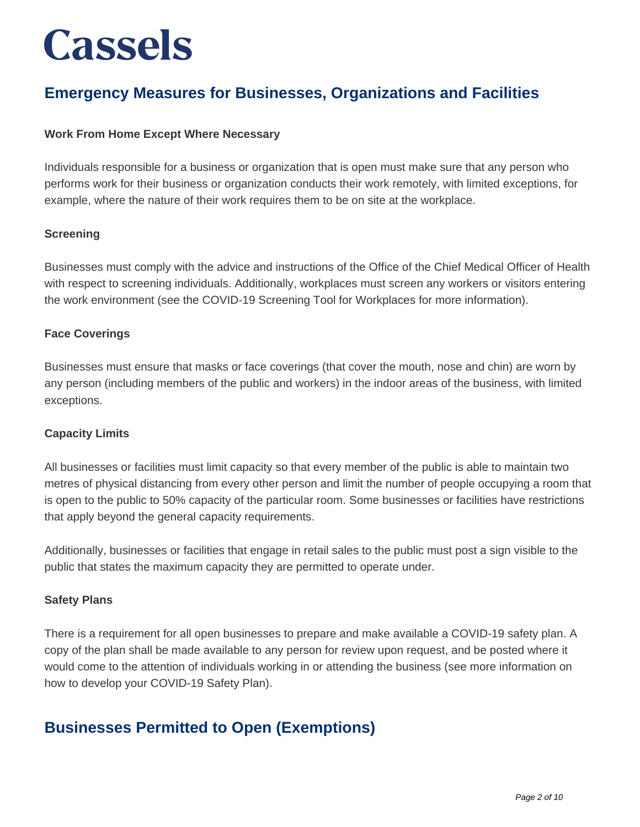### **Emergency Measures for Businesses, Organizations and Facilities**

### **Work From Home Except Where Necessary**

Individuals responsible for a business or organization that is open must make sure that any person who performs work for their business or organization conducts their work remotely, with limited exceptions, for example, where the nature of their work requires them to be on site at the workplace.

### **Screening**

Businesses must comply with the advice and instructions of the Office of the Chief Medical Officer of Health with respect to screening individuals. Additionally, workplaces must screen any workers or visitors entering the work environment (see the COVID-19 Screening Tool for Workplaces for more information).

### **Face Coverings**

Businesses must ensure that masks or face coverings (that cover the mouth, nose and chin) are worn by any person (including members of the public and workers) in the indoor areas of the business, with limited exceptions.

### **Capacity Limits**

All businesses or facilities must limit capacity so that every member of the public is able to maintain two metres of physical distancing from every other person and limit the number of people occupying a room that is open to the public to 50% capacity of the particular room. Some businesses or facilities have restrictions that apply beyond the general capacity requirements.

Additionally, businesses or facilities that engage in retail sales to the public must post a sign visible to the public that states the maximum capacity they are permitted to operate under.

### **Safety Plans**

There is a requirement for all open businesses to prepare and make available a COVID-19 safety plan. A copy of the plan shall be made available to any person for review upon request, and be posted where it would come to the attention of individuals working in or attending the business (see more information on how to develop your COVID-19 Safety Plan).

### **Businesses Permitted to Open (Exemptions)**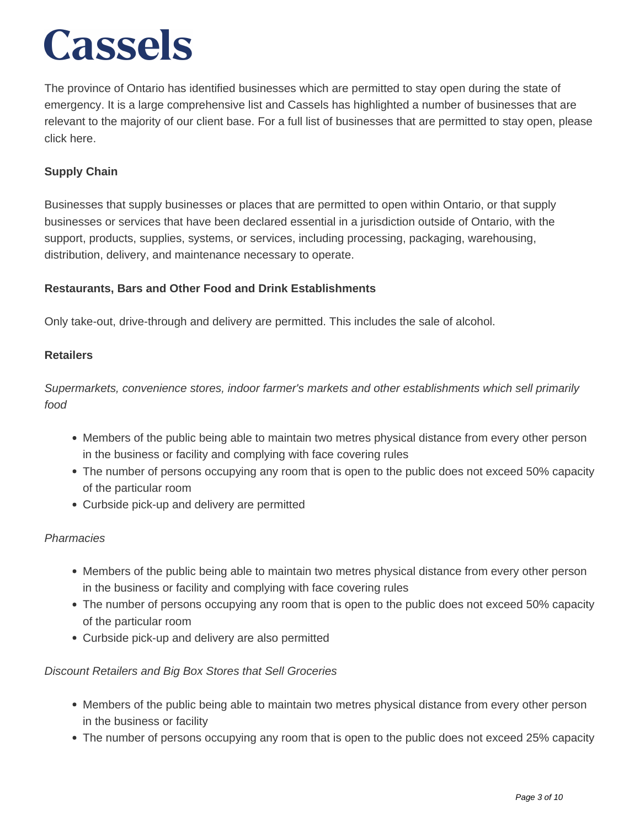The province of Ontario has identified businesses which are permitted to stay open during the state of emergency. It is a large comprehensive list and Cassels has highlighted a number of businesses that are relevant to the majority of our client base. For a full list of businesses that are permitted to stay open, please click here.

### **Supply Chain**

Businesses that supply businesses or places that are permitted to open within Ontario, or that supply businesses or services that have been declared essential in a jurisdiction outside of Ontario, with the support, products, supplies, systems, or services, including processing, packaging, warehousing, distribution, delivery, and maintenance necessary to operate.

### **Restaurants, Bars and Other Food and Drink Establishments**

Only take-out, drive-through and delivery are permitted. This includes the sale of alcohol.

### **Retailers**

Supermarkets, convenience stores, indoor farmer's markets and other establishments which sell primarily food

- Members of the public being able to maintain two metres physical distance from every other person in the business or facility and complying with face covering rules
- The number of persons occupying any room that is open to the public does not exceed 50% capacity of the particular room
- Curbside pick-up and delivery are permitted

### **Pharmacies**

- Members of the public being able to maintain two metres physical distance from every other person in the business or facility and complying with face covering rules
- The number of persons occupying any room that is open to the public does not exceed 50% capacity of the particular room
- Curbside pick-up and delivery are also permitted

### Discount Retailers and Big Box Stores that Sell Groceries

- Members of the public being able to maintain two metres physical distance from every other person in the business or facility
- The number of persons occupying any room that is open to the public does not exceed 25% capacity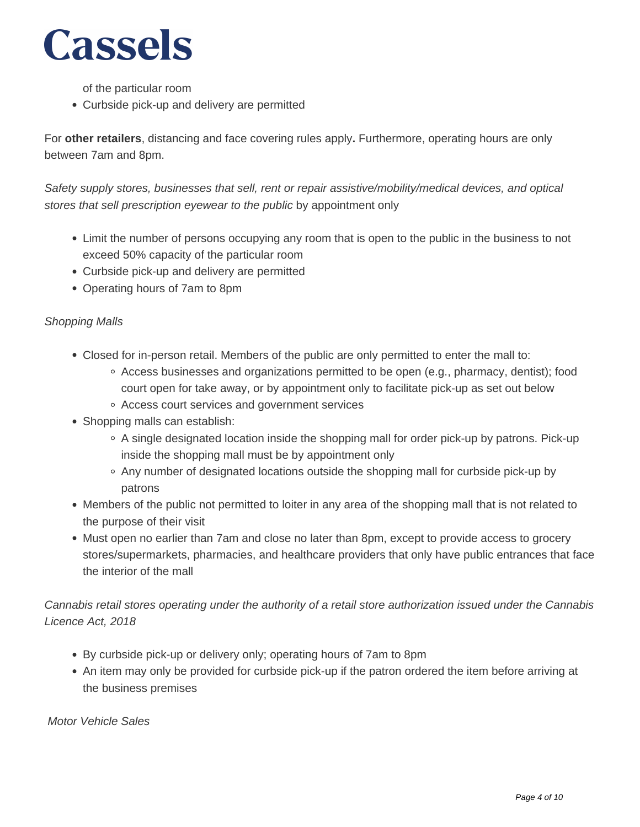of the particular room

Curbside pick-up and delivery are permitted

For **other retailers**, distancing and face covering rules apply**.** Furthermore, operating hours are only between 7am and 8pm.

Safety supply stores, businesses that sell, rent or repair assistive/mobility/medical devices, and optical stores that sell prescription eyewear to the public by appointment only

- Limit the number of persons occupying any room that is open to the public in the business to not exceed 50% capacity of the particular room
- Curbside pick-up and delivery are permitted
- Operating hours of 7am to 8pm

### Shopping Malls

- Closed for in-person retail. Members of the public are only permitted to enter the mall to:
	- Access businesses and organizations permitted to be open (e.g., pharmacy, dentist); food court open for take away, or by appointment only to facilitate pick-up as set out below
	- Access court services and government services
- Shopping malls can establish:
	- A single designated location inside the shopping mall for order pick-up by patrons. Pick-up inside the shopping mall must be by appointment only
	- Any number of designated locations outside the shopping mall for curbside pick-up by patrons
- Members of the public not permitted to loiter in any area of the shopping mall that is not related to the purpose of their visit
- Must open no earlier than 7am and close no later than 8pm, except to provide access to grocery stores/supermarkets, pharmacies, and healthcare providers that only have public entrances that face the interior of the mall

Cannabis retail stores operating under the authority of a retail store authorization issued under the Cannabis Licence Act, 2018

- By curbside pick-up or delivery only; operating hours of 7am to 8pm
- An item may only be provided for curbside pick-up if the patron ordered the item before arriving at the business premises

Motor Vehicle Sales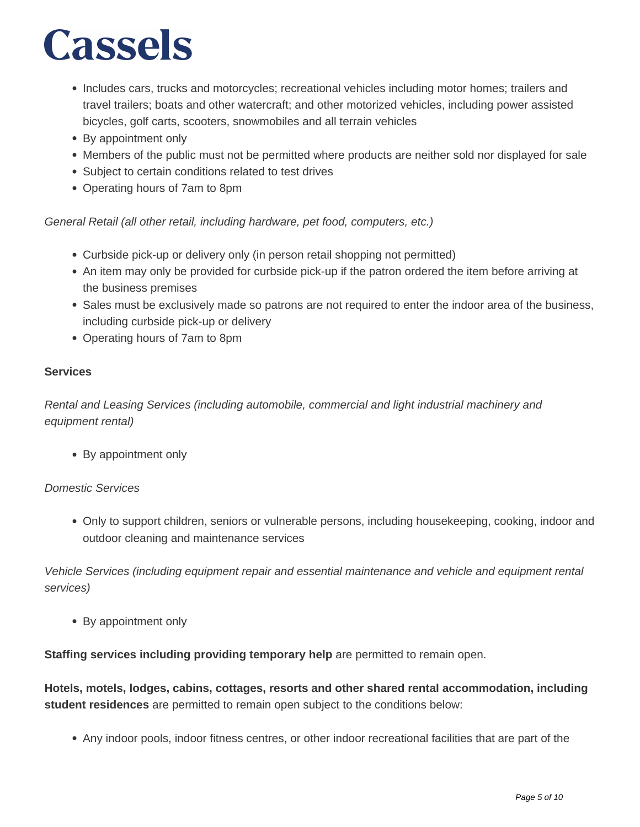- Includes cars, trucks and motorcycles; recreational vehicles including motor homes; trailers and travel trailers; boats and other watercraft; and other motorized vehicles, including power assisted bicycles, golf carts, scooters, snowmobiles and all terrain vehicles
- By appointment only
- Members of the public must not be permitted where products are neither sold nor displayed for sale
- Subject to certain conditions related to test drives
- Operating hours of 7am to 8pm

General Retail (all other retail, including hardware, pet food, computers, etc.)

- Curbside pick-up or delivery only (in person retail shopping not permitted)
- An item may only be provided for curbside pick-up if the patron ordered the item before arriving at the business premises
- Sales must be exclusively made so patrons are not required to enter the indoor area of the business, including curbside pick-up or delivery
- Operating hours of 7am to 8pm

### **Services**

Rental and Leasing Services (including automobile, commercial and light industrial machinery and equipment rental)

By appointment only

### Domestic Services

Only to support children, seniors or vulnerable persons, including housekeeping, cooking, indoor and outdoor cleaning and maintenance services

Vehicle Services (including equipment repair and essential maintenance and vehicle and equipment rental services)

By appointment only

**Staffing services including providing temporary help** are permitted to remain open.

**Hotels, motels, lodges, cabins, cottages, resorts and other shared rental accommodation, including student residences** are permitted to remain open subject to the conditions below:

Any indoor pools, indoor fitness centres, or other indoor recreational facilities that are part of the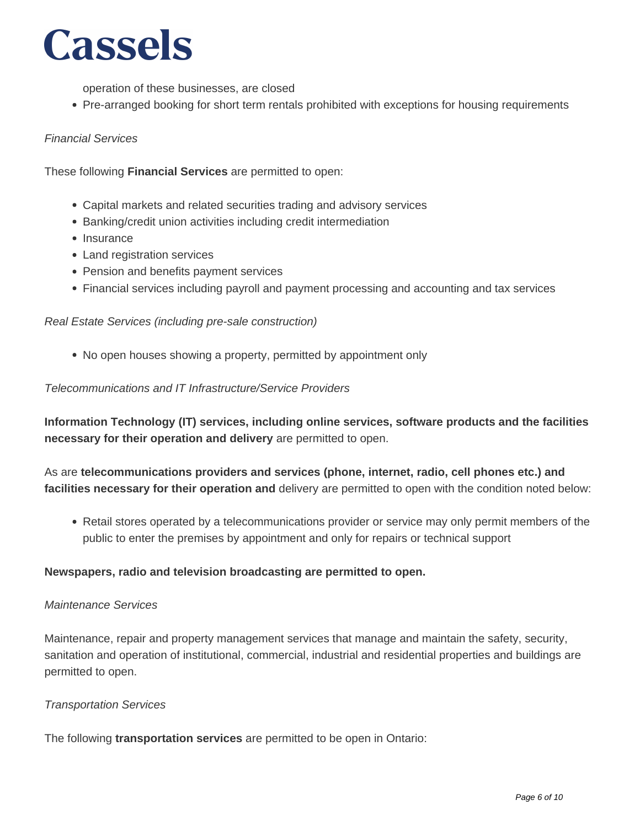operation of these businesses, are closed

• Pre-arranged booking for short term rentals prohibited with exceptions for housing requirements

#### Financial Services

These following **Financial Services** are permitted to open:

- Capital markets and related securities trading and advisory services
- Banking/credit union activities including credit intermediation
- Insurance
- Land registration services
- Pension and benefits payment services
- Financial services including payroll and payment processing and accounting and tax services

#### Real Estate Services (including pre-sale construction)

No open houses showing a property, permitted by appointment only

#### Telecommunications and IT Infrastructure/Service Providers

**Information Technology (IT) services, including online services, software products and the facilities necessary for their operation and delivery** are permitted to open.

As are **telecommunications providers and services (phone, internet, radio, cell phones etc.) and facilities necessary for their operation and** delivery are permitted to open with the condition noted below:

• Retail stores operated by a telecommunications provider or service may only permit members of the public to enter the premises by appointment and only for repairs or technical support

### **Newspapers, radio and television broadcasting are permitted to open.**

#### Maintenance Services

Maintenance, repair and property management services that manage and maintain the safety, security, sanitation and operation of institutional, commercial, industrial and residential properties and buildings are permitted to open.

#### Transportation Services

The following **transportation services** are permitted to be open in Ontario: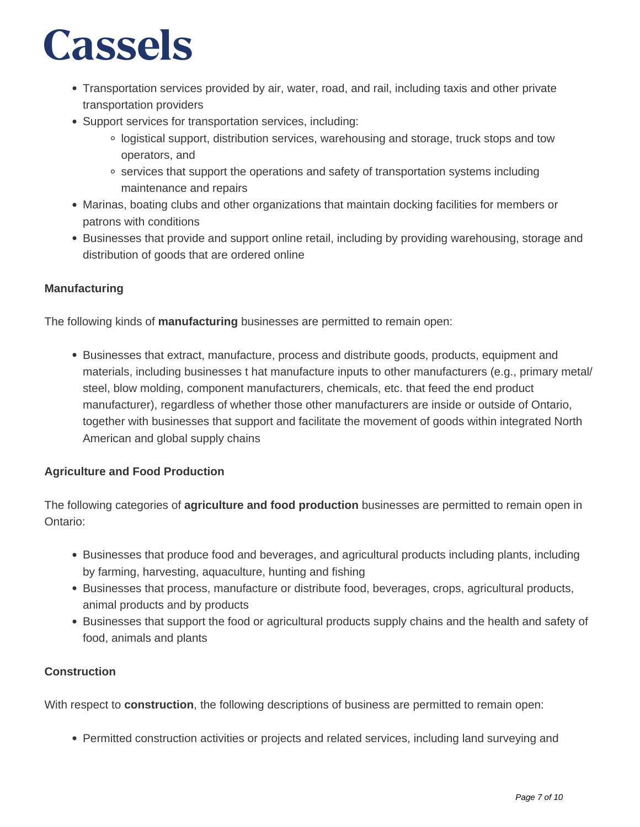- Transportation services provided by air, water, road, and rail, including taxis and other private transportation providers
- Support services for transportation services, including:
	- logistical support, distribution services, warehousing and storage, truck stops and tow operators, and
	- o services that support the operations and safety of transportation systems including maintenance and repairs
- Marinas, boating clubs and other organizations that maintain docking facilities for members or patrons with conditions
- Businesses that provide and support online retail, including by providing warehousing, storage and distribution of goods that are ordered online

### **Manufacturing**

The following kinds of **manufacturing** businesses are permitted to remain open:

Businesses that extract, manufacture, process and distribute goods, products, equipment and materials, including businesses t hat manufacture inputs to other manufacturers (e.g., primary metal/ steel, blow molding, component manufacturers, chemicals, etc. that feed the end product manufacturer), regardless of whether those other manufacturers are inside or outside of Ontario, together with businesses that support and facilitate the movement of goods within integrated North American and global supply chains

### **Agriculture and Food Production**

The following categories of **agriculture and food production** businesses are permitted to remain open in Ontario:

- Businesses that produce food and beverages, and agricultural products including plants, including by farming, harvesting, aquaculture, hunting and fishing
- Businesses that process, manufacture or distribute food, beverages, crops, agricultural products, animal products and by products
- Businesses that support the food or agricultural products supply chains and the health and safety of food, animals and plants

### **Construction**

With respect to **construction**, the following descriptions of business are permitted to remain open:

Permitted construction activities or projects and related services, including land surveying and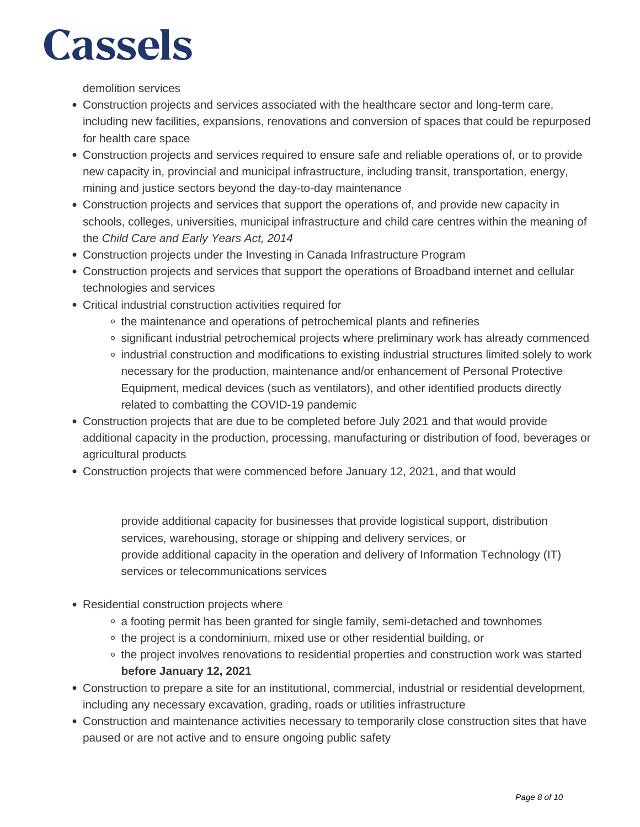demolition services

- Construction projects and services associated with the healthcare sector and long-term care, including new facilities, expansions, renovations and conversion of spaces that could be repurposed for health care space
- Construction projects and services required to ensure safe and reliable operations of, or to provide new capacity in, provincial and municipal infrastructure, including transit, transportation, energy, mining and justice sectors beyond the day-to-day maintenance
- Construction projects and services that support the operations of, and provide new capacity in schools, colleges, universities, municipal infrastructure and child care centres within the meaning of the Child Care and Early Years Act, 2014
- Construction projects under the Investing in Canada Infrastructure Program
- Construction projects and services that support the operations of Broadband internet and cellular technologies and services
- Critical industrial construction activities required for
	- the maintenance and operations of petrochemical plants and refineries
	- significant industrial petrochemical projects where preliminary work has already commenced
	- industrial construction and modifications to existing industrial structures limited solely to work necessary for the production, maintenance and/or enhancement of Personal Protective Equipment, medical devices (such as ventilators), and other identified products directly related to combatting the COVID-19 pandemic
- Construction projects that are due to be completed before July 2021 and that would provide additional capacity in the production, processing, manufacturing or distribution of food, beverages or agricultural products
- Construction projects that were commenced before January 12, 2021, and that would

provide additional capacity for businesses that provide logistical support, distribution services, warehousing, storage or shipping and delivery services, or provide additional capacity in the operation and delivery of Information Technology (IT) services or telecommunications services

- Residential construction projects where
	- a footing permit has been granted for single family, semi-detached and townhomes
	- the project is a condominium, mixed use or other residential building, or
	- o the project involves renovations to residential properties and construction work was started **before January 12, 2021**
- Construction to prepare a site for an institutional, commercial, industrial or residential development, including any necessary excavation, grading, roads or utilities infrastructure
- Construction and maintenance activities necessary to temporarily close construction sites that have paused or are not active and to ensure ongoing public safety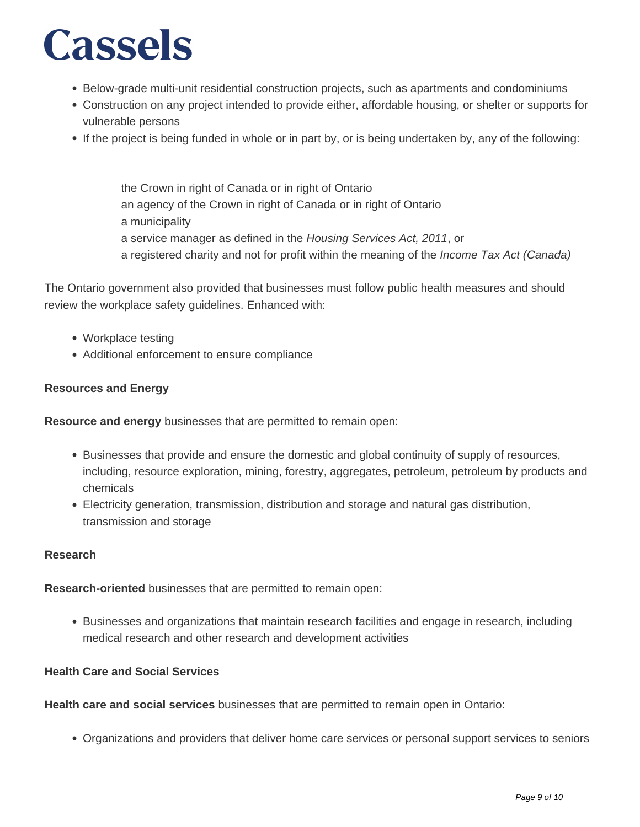- Below-grade multi-unit residential construction projects, such as apartments and condominiums
- Construction on any project intended to provide either, affordable housing, or shelter or supports for vulnerable persons
- If the project is being funded in whole or in part by, or is being undertaken by, any of the following:

the Crown in right of Canada or in right of Ontario an agency of the Crown in right of Canada or in right of Ontario a municipality a service manager as defined in the Housing Services Act, 2011, or a registered charity and not for profit within the meaning of the Income Tax Act (Canada)

The Ontario government also provided that businesses must follow public health measures and should review the workplace safety guidelines. Enhanced with:

- Workplace testing
- Additional enforcement to ensure compliance

### **Resources and Energy**

**Resource and energy** businesses that are permitted to remain open:

- Businesses that provide and ensure the domestic and global continuity of supply of resources, including, resource exploration, mining, forestry, aggregates, petroleum, petroleum by products and chemicals
- Electricity generation, transmission, distribution and storage and natural gas distribution, transmission and storage

### **Research**

**Research-oriented** businesses that are permitted to remain open:

Businesses and organizations that maintain research facilities and engage in research, including medical research and other research and development activities

### **Health Care and Social Services**

**Health care and social services** businesses that are permitted to remain open in Ontario:

Organizations and providers that deliver home care services or personal support services to seniors